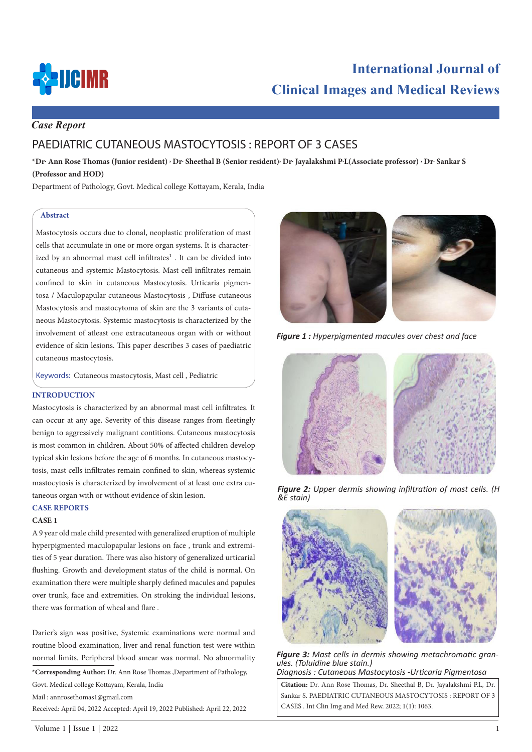

# **International Journal of Clinical Images and Medical Reviews**

# *Case Report*

# PAEDIATRIC CUTANEOUS MASTOCYTOSIS : REPORT OF 3 CASES

**\*Dr. Ann Rose Thomas (Junior resident) , Dr. Sheethal B (Senior resident), Dr. Jayalakshmi P.L(Associate professor) , Dr. Sankar S (Professor and HOD)**

Department of Pathology, Govt. Medical college Kottayam, Kerala, India

#### **Abstract**

Mastocytosis occurs due to clonal, neoplastic proliferation of mast cells that accumulate in one or more organ systems. It is characterized by an abnormal mast cell infiltrates<sup>1</sup>. It can be divided into cutaneous and systemic Mastocytosis. Mast cell infiltrates remain confined to skin in cutaneous Mastocytosis. Urticaria pigmentosa / Maculopapular cutaneous Mastocytosis , Diffuse cutaneous Mastocytosis and mastocytoma of skin are the 3 variants of cutaneous Mastocytosis. Systemic mastocytosis is characterized by the involvement of atleast one extracutaneous organ with or without evidence of skin lesions. This paper describes 3 cases of paediatric cutaneous mastocytosis.

Keywords: Cutaneous mastocytosis, Mast cell , Pediatric

#### **INTRODUCTION**

Mastocytosis is characterized by an abnormal mast cell infiltrates. It can occur at any age. Severity of this disease ranges from fleetingly benign to aggressively malignant contitions. Cutaneous mastocytosis is most common in children. About 50% of affected children develop typical skin lesions before the age of 6 months. In cutaneous mastocytosis, mast cells infiltrates remain confined to skin, whereas systemic mastocytosis is characterized by involvement of at least one extra cutaneous organ with or without evidence of skin lesion.

# **CASE REPORTS**

#### **CASE 1**

A 9 year old male child presented with generalized eruption of multiple hyperpigmented maculopapular lesions on face , trunk and extremities of 5 year duration. There was also history of generalized urticarial flushing. Growth and development status of the child is normal. On examination there were multiple sharply defined macules and papules over trunk, face and extremities. On stroking the individual lesions, there was formation of wheal and flare .

Darier's sign was positive, Systemic examinations were normal and routine blood examination, liver and renal function test were within normal limits. Peripheral blood smear was normal. No abnormality

**\*Corresponding Author:** Dr. Ann Rose Thomas ,Department of Pathology, Govt. Medical college Kottayam, Kerala, India

Mail : annrosethomas1@gmail.com

Received: April 04, 2022 Accepted: April 19, 2022 Published: April 22, 2022



*Figure 1 : Hyperpigmented macules over chest and face* 



*Figure 2: Upper dermis showing infiltration of mast cells. (H &E stain)* 



*Figure 3: Mast cells in dermis showing metachromatic granules. (Toluidine blue stain.) Diagnosis : Cutaneous Mastocytosis -Urticaria Pigmentosa* 

**Citation:** Dr. Ann Rose Thomas, Dr. Sheethal B, Dr. Jayalakshmi P.L, Dr. Sankar S. PAEDIATRIC CUTANEOUS MASTOCYTOSIS : REPORT OF 3 CASES . Int Clin Img and Med Rew. 2022; 1(1): 1063.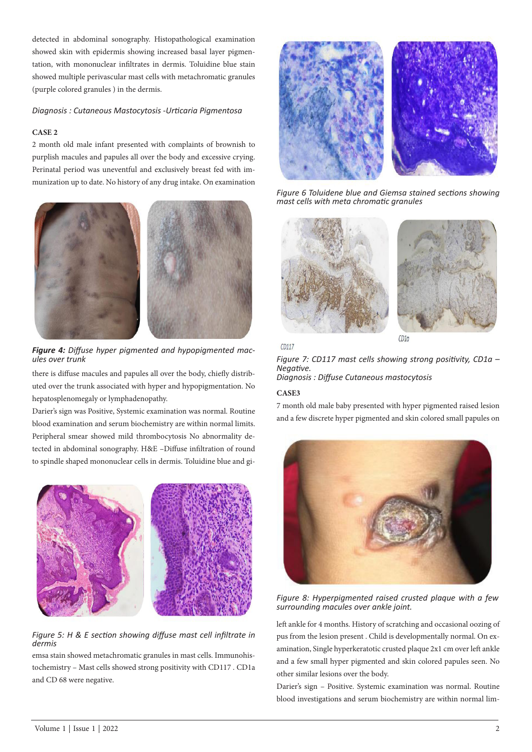detected in abdominal sonography. Histopathological examination showed skin with epidermis showing increased basal layer pigmentation, with mononuclear infiltrates in dermis. Toluidine blue stain showed multiple perivascular mast cells with metachromatic granules (purple colored granules ) in the dermis.

## *Diagnosis : Cutaneous Mastocytosis -Urticaria Pigmentosa*

## **CASE 2**

2 month old male infant presented with complaints of brownish to purplish macules and papules all over the body and excessive crying. Perinatal period was uneventful and exclusively breast fed with immunization up to date. No history of any drug intake. On examination



*Figure 4: Diffuse hyper pigmented and hypopigmented mac- ules over trunk* 

there is diffuse macules and papules all over the body, chiefly distributed over the trunk associated with hyper and hypopigmentation. No hepatosplenomegaly or lymphadenopathy.

Darier's sign was Positive, Systemic examination was normal. Routine blood examination and serum biochemistry are within normal limits. Peripheral smear showed mild thrombocytosis No abnormality detected in abdominal sonography. H&E –Diffuse infiltration of round to spindle shaped mononuclear cells in dermis. Toluidine blue and gi-



*Figure 5: H & E section showing diffuse mast cell infiltrate in dermis* 

emsa stain showed metachromatic granules in mast cells. Immunohistochemistry – Mast cells showed strong positivity with CD117 . CD1a and CD 68 were negative.



*Figure 6 Toluidene blue and Giemsa stained sections showing mast cells with meta chromatic granules* 



*Figure 7: CD117 mast cells showing strong positivity, CD1a – Negative. Diagnosis : Diffuse Cutaneous mastocytosis* 

#### **CASE3**

7 month old male baby presented with hyper pigmented raised lesion and a few discrete hyper pigmented and skin colored small papules on



*Figure 8: Hyperpigmented raised crusted plaque with a few surrounding macules over ankle joint.* 

left ankle for 4 months. History of scratching and occasional oozing of pus from the lesion present . Child is developmentally normal. On examination, Single hyperkeratotic crusted plaque 2x1 cm over left ankle and a few small hyper pigmented and skin colored papules seen. No other similar lesions over the body.

Darier's sign – Positive. Systemic examination was normal. Routine blood investigations and serum biochemistry are within normal lim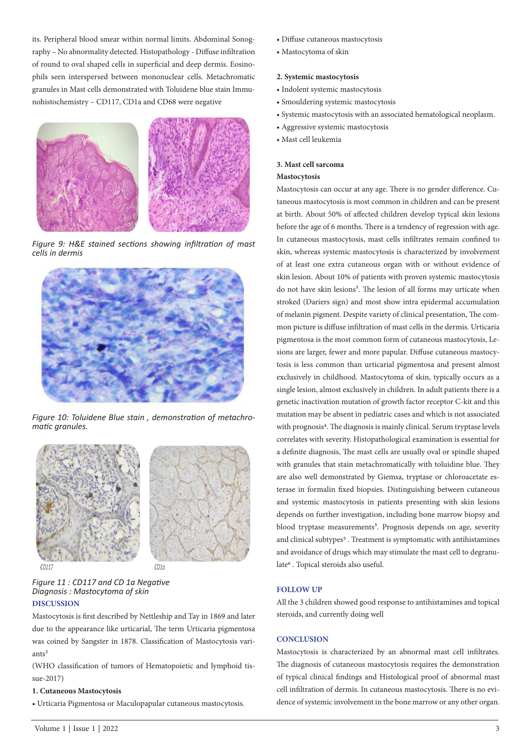its. Peripheral blood smear within normal limits. Abdominal Sonography – No abnormality detected. Histopathology - Diffuse infiltration of round to oval shaped cells in superficial and deep dermis. Eosinophils seen interspersed between mononuclear cells. Metachromatic granules in Mast cells demonstrated with Toluidene blue stain Immunohistochemistry – CD117, CD1a and CD68 were negative



*Figure 9: H&E stained sections showing infiltration of mast cells in dermis* 



*Figure 10: Toluidene Blue stain , demonstration of metachromatic granules.* 



*Figure 11 : CD117 and CD 1a Negative Diagnosis : Mastocytoma of skin* 

# **DISCUSSION**

Mastocytosis is first described by Nettleship and Tay in 1869 and later due to the appearance like urticarial, The term Urticaria pigmentosa was coined by Sangster in 1878. Classification of Mastocytosis variants<sup>2</sup>

(WHO classification of tumors of Hematopoietic and lymphoid tissue-2017)

#### **1. Cutaneous Mastocytosis**

• Urticaria Pigmentosa or Maculopapular cutaneous mastocytosis.

- Diffuse cutaneous mastocytosis
- Mastocytoma of skin

#### **2. Systemic mastocytosis**

- Indolent systemic mastocytosis
- Smouldering systemic mastocytosis
- Systemic mastocytosis with an associated hematological neoplasm.
- Aggressive systemic mastocytosis
- Mast cell leukemia

#### **3. Mast cell sarcoma**

#### **Mastocytosis**

Mastocytosis can occur at any age. There is no gender difference. Cutaneous mastocytosis is most common in children and can be present at birth. About 50% of affected children develop typical skin lesions before the age of 6 months. There is a tendency of regression with age. In cutaneous mastocytosis, mast cells infiltrates remain confined to skin, whereas systemic mastocytosis is characterized by involvement of at least one extra cutaneous organ with or without evidence of skin lesion. About 10% of patients with proven systemic mastocytosis do not have skin lesions<sup>3</sup>. The lesion of all forms may urticate when stroked (Dariers sign) and most show intra epidermal accumulation of melanin pigment. Despite variety of clinical presentation, The common picture is diffuse infiltration of mast cells in the dermis. Urticaria pigmentosa is the most common form of cutaneous mastocytosis, Lesions are larger, fewer and more papular. Diffuse cutaneous mastocytosis is less common than urticarial pigmentosa and present almost exclusively in childhood. Mastocytoma of skin, typically occurs as a single lesion, almost exclusively in children. In adult patients there is a genetic inactivation mutation of growth factor receptor C-kit and this mutation may be absent in pediatric cases and which is not associated with prognosis<sup>4</sup>. The diagnosis is mainly clinical. Serum tryptase levels correlates with severity. Histopathological examination is essential for a definite diagnosis, The mast cells are usually oval or spindle shaped with granules that stain metachromatically with toluidine blue. They are also well demonstrated by Giemsa, tryptase or chloroacetate esterase in formalin fixed biopsies. Distinguishing between cutaneous and systemic mastocytosis in patients presenting with skin lesions depends on further investigation, including bone marrow biopsy and blood tryptase measurements<sup>3</sup>. Prognosis depends on age, severity and clinical subtypes<sup>5</sup>. Treatment is symptomatic with antihistamines and avoidance of drugs which may stimulate the mast cell to degranulate<sup>6</sup>. Topical steroids also useful.

#### **FOLLOW UP**

All the 3 children showed good response to antihistamines and topical steroids, and currently doing well

#### **CONCLUSION**

Mastocytosis is characterized by an abnormal mast cell infiltrates. The diagnosis of cutaneous mastocytosis requires the demonstration of typical clinical findings and Histological proof of abnormal mast cell infiltration of dermis. In cutaneous mastocytosis. There is no evidence of systemic involvement in the bone marrow or any other organ.